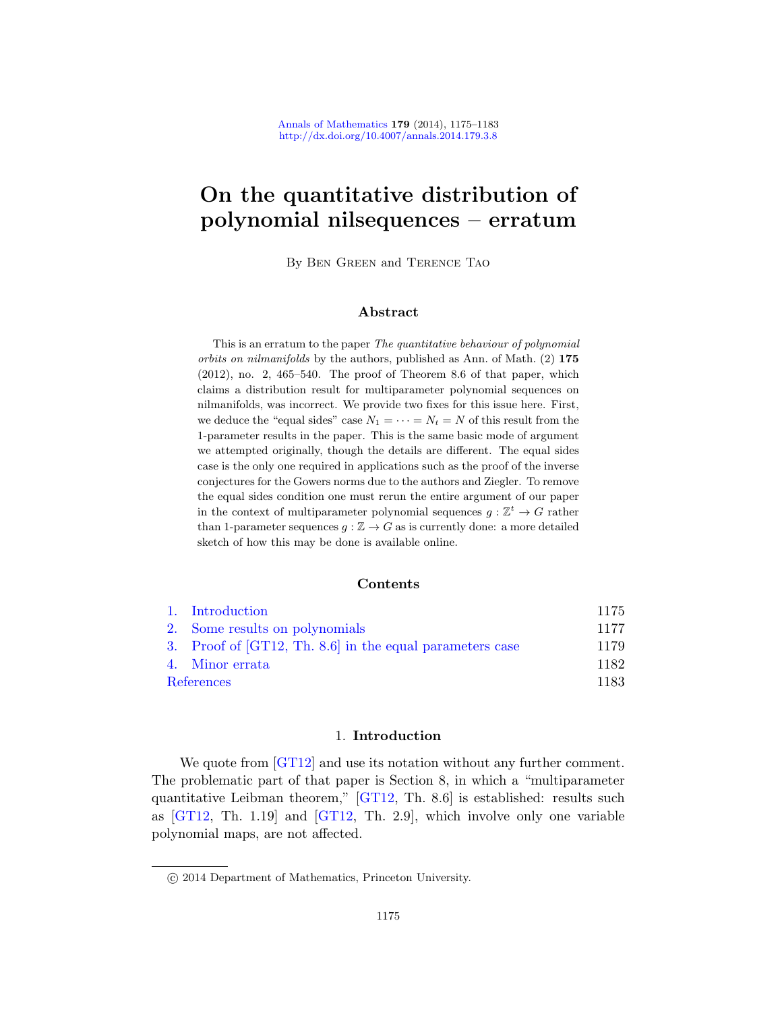# On the quantitative distribution of polynomial nilsequences – erratum

By Ben Green and Terence Tao

## Abstract

This is an erratum to the paper The quantitative behaviour of polynomial orbits on nilmanifolds by the authors, published as Ann. of Math. (2) 175  $(2012)$ , no. 2, 465–540. The proof of Theorem 8.6 of that paper, which claims a distribution result for multiparameter polynomial sequences on nilmanifolds, was incorrect. We provide two fixes for this issue here. First, we deduce the "equal sides" case  $N_1 = \cdots = N_t = N$  of this result from the 1-parameter results in the paper. This is the same basic mode of argument we attempted originally, though the details are different. The equal sides case is the only one required in applications such as the proof of the inverse conjectures for the Gowers norms due to the authors and Ziegler. To remove the equal sides condition one must rerun the entire argument of our paper [in the](#page-2-0) context of multiparameter polynomial sequences  $g: \mathbb{Z}^t \to G$  rather than 1-parameter sequences  $g : \mathbb{Z} \to G$  as is currently done: a more detailed [sketch of how this may be done is a](#page-4-0)vailable online.

#### Contents

|            | 1. Introduction                                          | 1175 |
|------------|----------------------------------------------------------|------|
|            | 2. Some results on polynomials                           | 1177 |
|            | 3. Proof of [GT12, Th. 8.6] in the equal parameters case | 1179 |
|            | 4. Minor errata                                          | 1182 |
| References |                                                          | 1183 |

# 1. Introduction

We quote from [GT12] and use its notation without any further comment. The problematic part of that paper is Section 8, in which a "multiparameter quantitative Leibman theorem," [GT12, Th. 8.6] is established: results such as [GT12, Th. 1.19] and [GT12, Th. 2.9], which involve only one variable polynomial maps, are not affected.

c 2014 Department of Mathematics, Princeton University.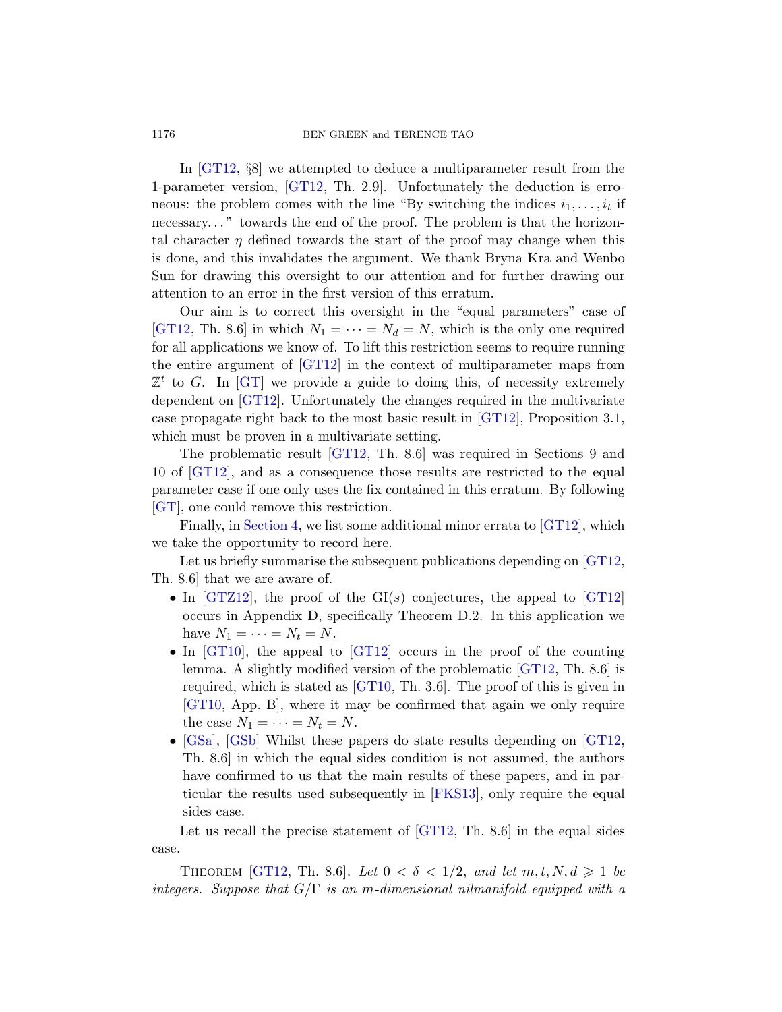In [GT12, §8] we attempted to deduce a multiparameter result from the 1-parameter version, [GT12, Th. 2.9]. Unfortunately the deduction is erroneous: the problem comes with the line "By switching the indices  $i_1, \ldots, i_t$  if necessary. . . " towards the end of the proof. The problem is that the horizontal character  $\eta$  defined towards the start of the proof may change when this i[s done,](#page-8-0) and this invalidates the argument. We thank Bryna Kra and Wenbo Sun for drawing this oversight to our attention and for further drawing our attention to an error in the first version of this erratum.

Our aim is to correct thi[s overs](#page-8-0)ight in the "equal parameters" case of [GT12, Th. 8.6] in which  $N_1 = \cdots = N_d = N$ , which is the only one required for all [applica](#page-8-0)tions we know of. To lift this restriction seems to require running the entire argument of [GT12] in the context of multiparameter maps from  $\mathbb{Z}^t$  to G. In [GT] we provide a guide to doing this, of necessity extremely dependent on [GT12]. Unfortunately the changes required in the multivariate [ca](#page-7-0)se propagate right back to the most ba[sic resu](#page-8-0)lt in [GT12], Proposition 3.1, which must be proven in a multivariate setting.

The problematic result [GT12, Th. 8.6] w[as requ](#page-8-0)ired in Sections 9 and 10 of [GT12], and as a consequence those results are restricted to the equal parameter case if one only uses the fix contained [in this](#page-8-0) erratum. By following [GT], one could remove this restriction.

Finally, in Section 4, we list some additional minor errata to [GT12], which we take t[he opp](#page-8-0)ortunity to record here.

Let us briefly summarise the sub[sequent](#page-8-0) publications depending on [GT12, Th. 8.6] t[hat we](#page-8-1) are aware of.

- In  $\left[\text{GTZ12}\right]$ , the proof of the GI(s) conjectures, the appeal to  $\left[\text{GT12}\right]$ occurs in Appendix D, specifically Theorem D.2. In this application we have  $N_1 = \cdots = N_t = N$ .
- In [GT10], the appeal to [GT12] occurs in the proof of the counting lemma. A slightly modified version of the problematic [GT12, Th. 8.6] is required, which is [stated a](#page-8-2)s [GT10, Th. 3.6]. The proof of this is given in [GT10, App. B], where it may be confirmed that again we only require the case  $N_1 = \cdots = N_t = N$ .
- [GSa], [GSb] Whilst these papers do state results depending on [GT12, Th. 8.6] in which the equal sides condition is not assumed, the authors have confirmed to us that the main results of these papers, and in particular the results used subsequently in [FKS13], only require the equal sides case.

Let us recall the precise statement of  $[GT12, Th. 8.6]$  in the equal sides case.

THEOREM [GT12, Th. 8.6]. Let  $0 < \delta < 1/2$ , and let  $m, t, N, d \geq 1$  be integers. Suppose that  $G/\Gamma$  is an m-dimensional nilmanifold equipped with a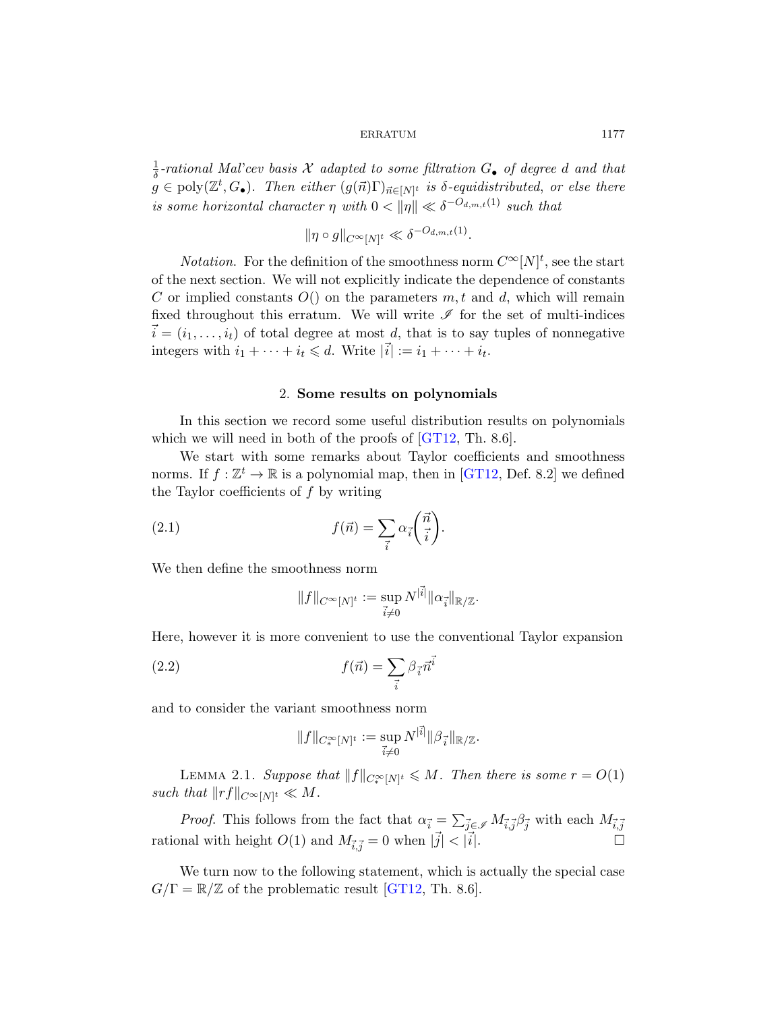#### ERRATUM 1177

1  $\frac{1}{\delta}$ -rational Mal'cev basis X adapted to some filtration  $G_{\bullet}$  of degree d and that  $g \in \text{poly}(\mathbb{Z}^t, G_{\bullet})$ . Then either  $(g(\vec{n})\Gamma)_{\vec{n} \in [N]^t}$  is  $\delta$ -equidistributed, or else there is some horizontal character  $\eta$  with  $0 < ||\eta|| \ll \delta^{-O_{d,m,t}(1)}$  such that

$$
\|\eta \circ g\|_{C^{\infty}[N]^t} \ll \delta^{-O_{d,m,t}(1)}.
$$

<span id="page-2-0"></span>*Notation*. For the definition of the smoothness norm  $C^{\infty}[N]^t$ , see the start of the next section. We will not explicitly indicate the dependence of constants C or implied constants  $O($ ) on the parameters  $m, t$  and  $d$ , which will remain fixed throughout this erratum. We will write  $\mathscr I$  for the set of multi-indices  $\vec{i} = (i_1, \ldots, i_t)$  of tot[al degr](#page-8-0)ee at most d, that is to say tuples of nonnegative integers with  $i_1 + \cdots + i_t \leq d$ [. Wr](#page-8-0)ite  $|\vec{i}| := i_1 + \cdots + i_t$ .

# 2. Some results on polynomials

In this section we record some useful distribution results on polynomials which we will need in both of the proofs of [GT12, Th. 8.6].

We start with some remarks about Taylor coefficients and smoothness norms. If  $f: \mathbb{Z}^t \to \mathbb{R}$  is a polynomial map, then in [GT12, Def. 8.2] we defined the Taylor coefficients of  $f$  by writing

(2.1) 
$$
f(\vec{n}) = \sum_{\vec{i}} \alpha_{\vec{i}} \left( \frac{\vec{n}}{\vec{i}} \right).
$$

We then define the smoothness norm

$$
||f||_{C^{\infty}[N]^t} := \sup_{\vec{i} \neq 0} N^{|\vec{i}|} ||\alpha_{\vec{i}}||_{\mathbb{R}/\mathbb{Z}}.
$$

Here, however it is more convenient to use the conventional Taylor expansion

<span id="page-2-1"></span>(2.2) 
$$
f(\vec{n}) = \sum_{\vec{i}} \beta_{\vec{i}} \vec{n}^{\vec{i}}
$$

and to consider the variant smoothness norm

$$
||f||_{C_*^\infty[N]^t} := \sup_{\vec{i} \neq 0} N^{|\vec{i}|} ||\beta_{\vec{i}}||_{\mathbb{R}/\mathbb{Z}}.
$$

LEMMA 2.1. [Sup](#page-8-0)pose that  $||f||_{C_*^\infty[N]^t} \leq M$ . Then there is some  $r = O(1)$ such that  $||rf||_{C^{\infty}[N]^t} \ll M$ .

*Proof.* This follows from the fact that  $\alpha_{\vec{i}} = \sum_{\vec{j} \in \mathscr{I}} M_{\vec{i}, \vec{j}} \beta_{\vec{j}}$  with each  $M_{\vec{i}, \vec{j}}$ rational with height  $O(1)$  and  $M_{\vec{i},\vec{j}} = 0$  when  $|\vec{j}| < |\vec{i}|$ .

We turn now to the following statement, which is actually the special case  $G/\Gamma = \mathbb{R}/\mathbb{Z}$  of the problematic result [GT12, Th. 8.6].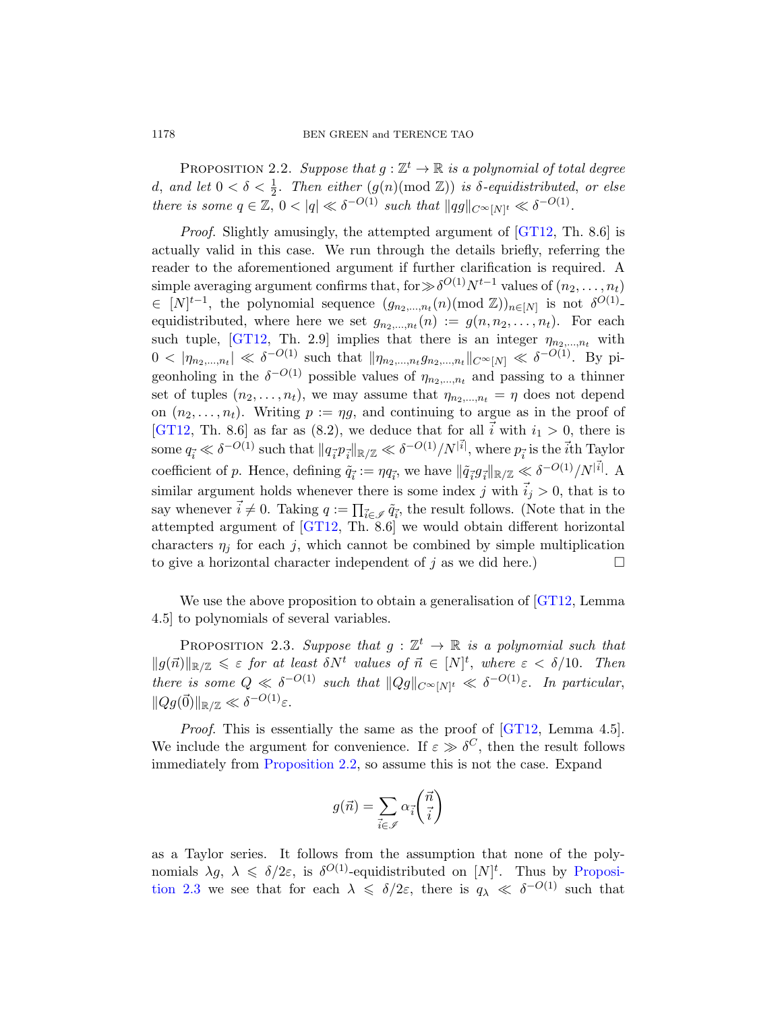#### 1178 BEN GREEN and TERENCE TAO

PROPOSITION 2.2. Suppose that  $g : \mathbb{Z}^t \to \mathbb{R}$  is a polynomial of total degree d, and let  $0 < \delta < \frac{1}{2}$ . Then either  $(g(n) \text{ (mod } \mathbb{Z}))$  is  $\delta$ -equidistributed, or else there is some  $q \in \mathbb{Z}$ ,  $0 < |q| \ll \delta^{-O(1)}$  such that  $||qg||_{C^{\infty}[N]^t} \ll \delta^{-O(1)}$ .

Proof. Slightly amusingly, the attempted argument of [GT12, Th. 8.6] is actually valid in this case. We run through the details briefly, referring the reader to the aforementioned argument if further clarification is required. A simple averaging argument confirms that, for  $\gg \delta^{O(1)}N^{t-1}$  values of  $(n_2, \ldots, n_t)$  $\in [N]^{t-1}$ , the polynomial sequence  $(g_{n_2,...,n_t}(n)(\text{mod } \mathbb{Z}))_{n\in[N]}$  is not  $\delta^{O(1)}$ equidistributed, where here we set  $g_{n_2,...,n_t}(n) := g(n, n_2,..., n_t)$ . For each such tuple, [GT12, Th. 2.9] implies that there is an integer  $\eta_{n_2,\dots,n_t}$  with  $0 < |\eta_{n_2,...,n_t}| \ll \delta^{-O(1)}$  such that  $\|\eta_{n_2,...,n_t}g_{n_2,...,n_t}\|_{C^{\infty}[N]} \ll \delta^{-O(1)}$ . By pigeonholing in the  $\delta^{-O(1)}$  possible values of  $\eta_{n_2,\dots,n_t}$  and passing to a thinner set of tuples  $(n_2, \ldots, n_t)$ , we may assume that  $\eta_{n_2,\ldots,n_t} = \eta$  does not depend on  $(n_2, \ldots, n_t)$ . Writing  $p := \eta g$ , and continuing to argue as in the proof of [GT12, Th. 8.6] as far as (8.2), we deduce that for all  $\vec{i}$  with  $i_1 > 0$ , there is some  $q_{\vec{i}} \ll \delta^{-O(1)}$  such that  $||q_{\vec{i}}p_{\vec{i}}||_{\mathbb{R}/\mathbb{Z}} \ll \delta^{-O(1)}/N^{|\vec{i}|}$ , where  $p_{\vec{i}}$  is the  $\vec{i}$ th Taylor coefficient of p. Hence, defining  $\tilde{q}^{\perp}_{\vec{i}} := \eta q_{\vec{i}},$  we have  $\|\tilde{q}^{\perp}_{\vec{i}} g^{\perp}_{\vec{i}}\|_{\mathbb{R}/\mathbb{Z}} \ll \delta^{-O(1)}/N^{|\vec{i}|}$ . A similar argument holds whenever there [is some](#page-8-0) index j with  $\vec{i}_j > 0$ , that is to say whenever  $\vec{i} \neq 0$ . Taking  $q := \prod_{\vec{i} \in \mathscr{I}} \tilde{q}_{\vec{i}}$ , the result follows. (Note that in the attempted argument of [GT12, Th. 8.6] we would obtain different horizontal characters  $\eta_i$  for each j, which cannot be combined by simple multiplication to give a horizontal character independent of j as we did here.)  $\Box$ 

<span id="page-3-1"></span>We use the above proposition to obtain a generalisation of [GT12, Lemma 4.5] to polynomials of several vari[ables.](#page-8-0)

PROPOSITION 2.3. Suppose that  $g: \mathbb{Z}^t \to \mathbb{R}$  is a polynomial such that  $||g(\vec{n})||_{\mathbb{R}/\mathbb{Z}} \leq \varepsilon$  for at least  $\delta N^t$  values of  $\vec{n} \in [N]^t$ , where  $\varepsilon < \delta/10$ . Then there is some  $Q \ll \delta^{-O(1)}$  such that  $||Qg||_{C^{\infty}[N]^t} \ll \delta^{-O(1)}\varepsilon$ . In particular,  $||Qg(\vec{0})||_{\mathbb{R}/\mathbb{Z}} \ll \delta^{-O(1)}\varepsilon.$ 

Proof. This is essentially the same as the proof of [GT12, Lemma 4.5]. We include the argument for convenience. If  $\varepsilon \gg \delta^C$ , then the result follows immediately from Proposition 2.2, so assume [this is no](#page-3-1)t the case. Expand

$$
g(\vec{n}) = \sum_{\vec{i} \in \mathscr{I}} \alpha_{\vec{i}} \binom{\vec{n}}{\vec{i}}
$$

as a Taylor series. It follows from the assumption that none of the polynomials  $\lambda g$ ,  $\lambda \leq \delta/2\varepsilon$ , is  $\delta^{O(1)}$ -equidistributed on  $[N]^t$ . Thus by Proposition 2.3 we see that for each  $\lambda \leq \delta/2\varepsilon$ , there is  $q_{\lambda} \ll \delta^{-O(1)}$  such that

<span id="page-3-0"></span>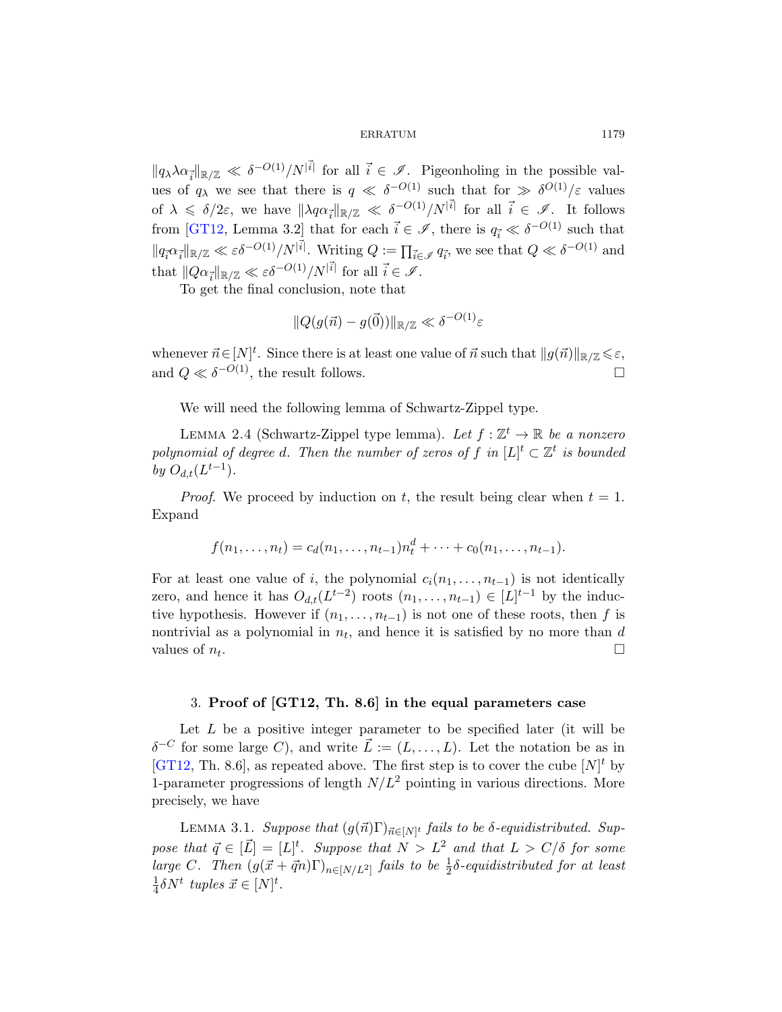ERRATUM 1179

 $||q_{\lambda}\lambda\alpha_{\vec{i}}||_{\mathbb{R}/\mathbb{Z}} \ll \delta^{-O(1)}/N^{|\vec{i}|}$  for all  $\vec{i} \in \mathscr{I}$ . Pigeonholing in the possible values of  $q_{\lambda}$  we see that there is  $q \ll \delta^{-O(1)}$  such that for  $\gg \delta^{O(1)}/\varepsilon$  values of  $\lambda \leq \delta/2\varepsilon$ , we have  $\|\lambda q \alpha_{\vec{i}}\|_{\mathbb{R}/\mathbb{Z}} \ll \delta^{-O(1)}/N^{|\vec{i}|}$  for all  $\vec{i} \in \mathscr{I}$ . It follows from [GT12, Lemma 3.2] that for each  $\vec{i} \in \mathscr{I}$ , there is  $q_{\vec{i}} \ll \delta^{-O(1)}$  such that  $||q_i^{\alpha} a_i^{\alpha}||_{\mathbb{R}/\mathbb{Z}} \ll \varepsilon \delta^{-O(1)}/N^{|\vec{i}|}$ . Writing  $Q := \prod_{\vec{i} \in \mathscr{I}} q_{\vec{i}}$ , we see that  $Q \ll \delta^{-O(1)}$  and that  $||Q\alpha_{\vec{i}}||_{\mathbb{R}/\mathbb{Z}} \ll \varepsilon \delta^{-O(1)}/N^{|\vec{i}|}$  for all  $\vec{i} \in \mathscr{I}$ .

To get the final conclusion, note that

$$
||Q(g(\vec{n}) - g(\vec{0}))||_{\mathbb{R}/\mathbb{Z}} \ll \delta^{-O(1)}\varepsilon
$$

whenever  $\vec{n} \in [N]^t$ . Since there is at least one value of  $\vec{n}$  such that  $||g(\vec{n})||_{\mathbb{R}/\mathbb{Z}} \leq \varepsilon$ , and  $Q \ll \delta^{-O(1)}$ , the result follows.

We will need the following lemma of Schwartz-Zippel type.

LEMMA 2.4 (Schwartz-Zippel type lemma). Let  $f : \mathbb{Z}^t \to \mathbb{R}$  be a nonzero polynomial of degree d. Then the number of zeros of f in  $[L]^t \subset \mathbb{Z}^t$  is bounded by  $O_{d,t}(L^{t-1})$ .

*Proof.* We proceed by induction on t, the result being clear when  $t = 1$ . Expand

$$
f(n_1, \ldots, n_t) = c_d(n_1, \ldots, n_{t-1}) n_t^d + \cdots + c_0(n_1, \ldots, n_{t-1}).
$$

<span id="page-4-0"></span>For at least one value of i, the polynomial  $c_i(n_1, \ldots, n_{t-1})$  is not identically zero, and hence it has  $O_{d,t}(L^{t-2})$  roots  $(n_1,\ldots,n_{t-1})\in [L]^{t-1}$  by the inductive hypothesis. However if  $(n_1, \ldots, n_{t-1})$  is not one of these roots, then f is nontrivial as a polynomial in  $n_t$ , and hence it is satisfied by no more than d values of  $n_t$ . . В последните последните последните последните последните последните последните последните последните последн<br>В последните последните последните последните последните последните последните последните последните последнит

# 3. Proof of [GT12, Th. 8.6] in the equal parameters case

Let  $L$  be a positive integer parameter to be specified later (it will be  $\delta^{-C}$  for some large C), and write  $\vec{L} := (L, \ldots, L)$ . Let the notation be as in [GT12, Th. 8.6], as repeated above. The first step is to cover the cube  $[N]^t$  by 1-parameter progressions of length  $N/L^2$  pointing in various directions. More precisely, we have

LEMMA 3.1. Suppose that  $(g(\vec{n})\Gamma)_{\vec{n}\in[N]^t}$  fails to be δ-equidistributed. Suppose that  $\vec{q} \in [\vec{L}] = [L]^t$ . Suppose that  $N > L^2$  and that  $L > C/\delta$  for some large C. Then  $(g(\vec{x} + \vec{q}n)\Gamma)_{n \in [N/L^2]}$  fails to be  $\frac{1}{2}\delta$ -equidistributed for at least 1  $\frac{1}{4}\delta N^t$  tuples  $\vec{x} \in [N]^t$ .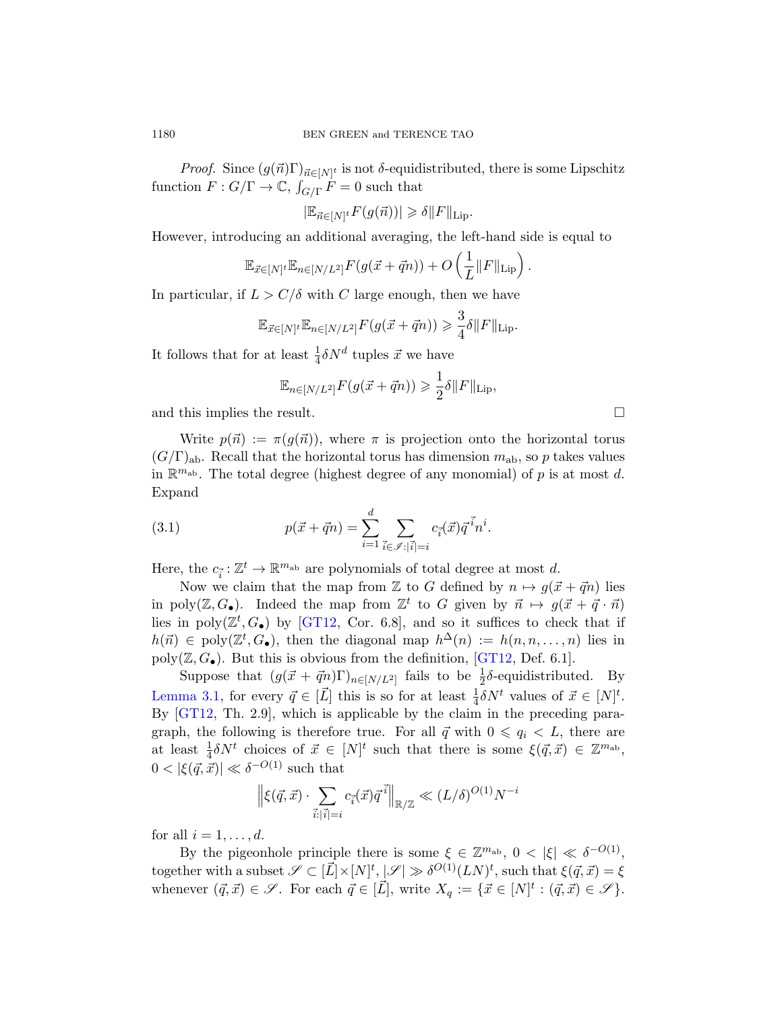*Proof.* Since  $(g(\vec{n})\Gamma)_{\vec{n}\in[N]^t}$  is not  $\delta$ -equidistributed, there is some Lipschitz function  $F: G/\Gamma \to \mathbb{C}$ ,  $\int_{G/\Gamma} F = 0$  such that

 $|\mathbb{E}_{\vec{n}\in[N]^t}F(g(\vec{n}))|\geq \delta||F||_{\text{Lip}}.$ 

However, introducing an additional averaging, the left-hand side is equal to

$$
\mathbb{E}_{\vec{x}\in[N]^t}\mathbb{E}_{n\in[N/L^2]}F(g(\vec{x}+\vec{q}n))+O\left(\frac{1}{L}\|F\|_{\mathrm{Lip}}\right).
$$

In particular, if  $L > C/\delta$  with C large enough, then we have

$$
\mathbb{E}_{\vec{x}\in [N]^t}\mathbb{E}_{n\in [N/L^2]}F(g(\vec{x}+\vec{q}n))\geqslant \frac{3}{4}\delta\|F\|_{\text{Lip}}.
$$

It follows that for at least  $\frac{1}{4}\delta N^d$  tuples  $\vec{x}$  we have

$$
\mathbb{E}_{n\in[N/L^2]}F(g(\vec{x}+\vec{q}n)) \geq \frac{1}{2}\delta||F||_{\text{Lip}},
$$

and this implies the result.

Write  $p(\vec{n}) := \pi(g(\vec{n}))$ , where  $\pi$  is projection onto the horizontal torus  $(G/\Gamma)_{ab}$ . Recall that the horizontal torus has dimension  $m_{ab}$ , so p takes values in  $\mathbb{R}^{m_{ab}}$ . The total degree (highest degree of any monomial) of p is at most d. Expand

(3.1) 
$$
p(\vec{x} + \vec{q}n) = \sum_{i=1}^{d} \sum_{\vec{i} \in \mathscr{I}: |\vec{i}| = i} c_{\vec{i}}(\vec{x}) \vec{q}^{\vec{i}} n^{i}.
$$

Here, the  $c_{\vec{i}} : \mathbb{Z}^t \to \mathbb{R}^{m_{ab}}$  are polynomials of total degree at most d.

Now we claim that the map from Z to G defined by  $n \mapsto g(\vec{x} + \vec{q}n)$  lies in poly $(\mathbb{Z}, G_{\bullet})$ . Indeed the map from  $\mathbb{Z}^t$  to G given by  $\vec{n} \mapsto g(\vec{x} + \vec{q} \cdot \vec{n})$ lies in  $poly(\mathbb{Z}^t, G_{\bullet})$  by [GT12, Cor. 6.8], and so it suffices to check that if  $h(\vec{n}) \in poly(\mathbb{Z}^t, G_{\bullet}),$  then the diagonal map  $h^{\Delta}(n) := h(n, n, \ldots, n)$  lies in poly( $\mathbb{Z}, G_{\bullet}$ ). But this is obvious from the definition, [GT12, Def. 6.1].

Suppose that  $(g(\vec{x} + \vec{q}n)\Gamma)_{n \in [N/L^2]}$  fails to be  $\frac{1}{2}\delta$ -equidistributed. By Lemma 3.1, for every  $\vec{q} \in [\vec{L}]$  this is so for at least  $\frac{1}{4} \delta N^t$  values of  $\vec{x} \in [N]^t$ . By [GT12, Th. 2.9], which is applicable by the claim in the preceding paragraph, the following is therefore true. For all  $\vec{q}$  with  $0 \leq q_i \leq L$ , there are at least  $\frac{1}{4} \delta N^t$  choices of  $\vec{x} \in [N]^t$  such that there is some  $\xi(\vec{q}, \vec{x}) \in \mathbb{Z}^{m_{ab}}$ ,  $0 < |\xi(\vec{q}, \vec{x})| \ll \delta^{-O(1)}$  such that

$$
\left\|\xi(\vec{q},\vec{x})\cdot\sum_{\vec{i}:|\vec{i}|=i}c_{\vec{i}}(\vec{x})\vec{q}^{\vec{i}}\right\|_{\mathbb{R}/\mathbb{Z}}\ll (L/\delta)^{O(1)}N^{-i}
$$

for all  $i = 1, \ldots, d$ .

By the pigeonhole principle there is some  $\xi \in \mathbb{Z}^{m_{ab}}$ ,  $0 < |\xi| \ll \delta^{-O(1)}$ , together with a subset  $\mathscr{S} \subset [\vec{L}] \times [N]^t$ ,  $|\mathscr{S}| \gg \delta^{O(1)} (LN)^t$ , such that  $\xi(\vec{q}, \vec{x}) = \xi$ whenever  $(\vec{q}, \vec{x}) \in \mathscr{S}$ . For each  $\vec{q} \in [\vec{L}]$ , write  $X_q := \{\vec{x} \in [N]^t : (\vec{q}, \vec{x}) \in \mathscr{S}\}.$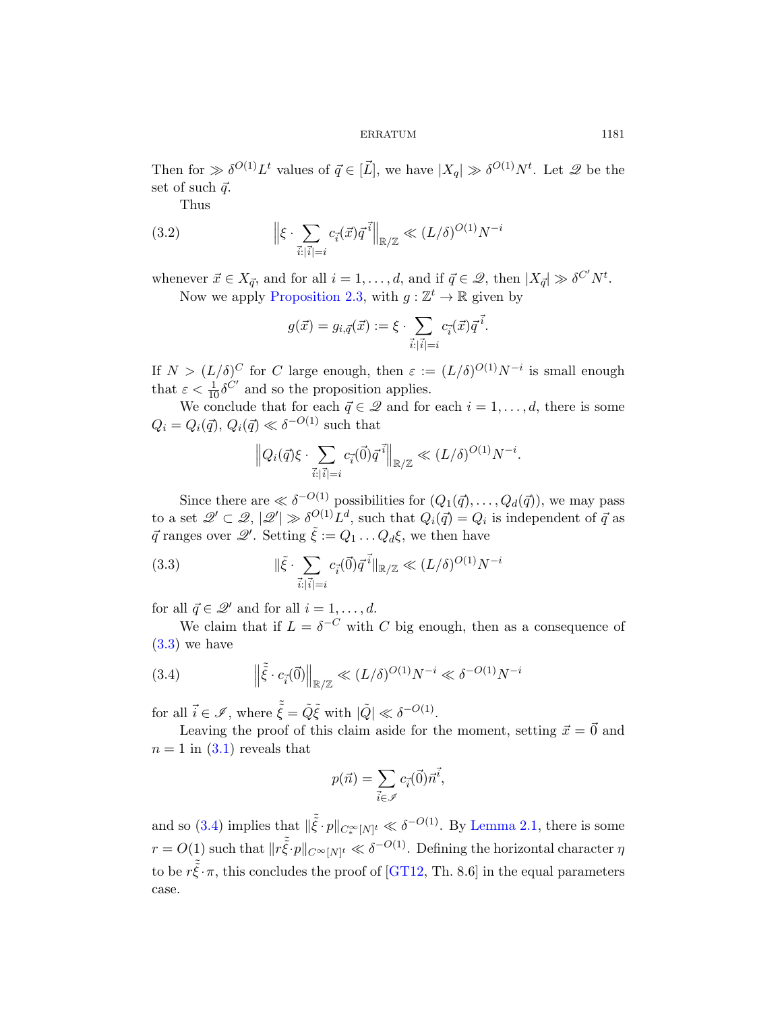Then for  $\gg \delta^{O(1)} L^t$  values of  $\vec{q} \in [\vec{L}]$ , we have  $|X_q| \gg \delta^{O(1)} N^t$ . Let  $\mathscr{Q}$  be the [set of such](#page-3-1)  $\vec{q}$ .

Thus

(3.2) 
$$
\left\| \xi \cdot \sum_{\vec{i}: |\vec{i}| = i} c_{\vec{i}}(\vec{x}) \vec{q}^{\vec{i}} \right\|_{\mathbb{R}/\mathbb{Z}} \ll (L/\delta)^{O(1)} N^{-i}
$$

whenever  $\vec{x} \in X_{\vec{q}}$ , and for all  $i = 1, ..., d$ , and if  $\vec{q} \in \mathcal{Q}$ , then  $|X_{\vec{q}}| \gg \delta^{C'} N^t$ . Now we apply Proposition 2.3, with  $g: \mathbb{Z}^t \to \mathbb{R}$  given by

$$
g(\vec{x}) = g_{i,\vec{q}}(\vec{x}) := \xi \cdot \sum_{\vec{i}: |\vec{i}| = i} c_{\vec{i}}(\vec{x}) \vec{q}^{\vec{i}}.
$$

If  $N > (L/\delta)^C$  for C large enough, then  $\varepsilon := (L/\delta)^{O(1)} N^{-i}$  is small enough that  $\varepsilon < \frac{1}{10} \delta^{C'}$  and so the proposition applies.

<span id="page-6-0"></span>We conclude that for each  $\vec{q} \in \mathcal{Q}$  and for each  $i = 1, \ldots, d$ , there is some  $Q_i = Q_i(\vec{q}), Q_i(\vec{q}) \ll \delta^{-O(1)}$  such that

$$
\left\|Q_i(\vec{q})\xi \cdot \sum_{\vec{i}: |\vec{i}|=i} c_{\vec{i}}(\vec{0})\vec{q}^{\,\vec{i}}\right\|_{\mathbb{R}/\mathbb{Z}} \ll (L/\delta)^{O(1)}N^{-i}.
$$

Since there are  $\ll \delta^{-O(1)}$  possibilities for  $(Q_1(\vec{q}), \ldots, Q_d(\vec{q}))$ , we may pass to a set  $\mathscr{Q}' \subset \mathscr{Q}, |\mathscr{Q}'| \gg \delta^{O(1)} L^d$ , such that  $Q_i(\vec{q}) = Q_i$  is independent of  $\vec{q}$  as  $\vec{q}$  ranges over  $\mathscr{Q}'$ . Setting  $\tilde{\xi} := Q_1 \dots Q_d \xi$ , we then have

<span id="page-6-1"></span>(3.3) 
$$
\|\tilde{\xi} \cdot \sum_{\vec{i}: |\vec{i}| = i} c_{\vec{i}}(\vec{0}) \vec{q}^{\vec{i}}\|_{\mathbb{R}/\mathbb{Z}} \ll (L/\delta)^{O(1)} N^{-i}
$$

for all  $\vec{q} \in \mathcal{Q}'$  and for all  $i = 1, \ldots, d$ .

We claim that if  $L = \delta^{-C}$  with C big enough, then as a consequence of  $(3.3)$  we have

(3.4) 
$$
\left\| \tilde{\xi} \cdot c_{\vec{i}}(\vec{0}) \right\|_{\mathbb{R}/\mathbb{Z}} \ll (L/\delta)^{O(1)} N^{-i} \ll \delta^{-O(1)} N^{-i}
$$

for all  $\vec{i} \in \mathscr{I}$ , where  $\tilde{\xi} = \tilde{Q}\tilde{\xi}$  [with](#page-2-1)  $|\tilde{Q}| \ll \delta^{-O(1)}$ .

Leaving the proof of this claim aside for the moment, setting  $\vec{x} = \vec{0}$  and  $n = 1$  $n = 1$  $n = 1$  in  $(3.1)$  r[eveals](#page-8-0) that

$$
p(\vec{n}) = \sum_{\vec{i} \in \mathscr{I}} c_{\vec{i}}(\vec{0}) \vec{n}^{\vec{i}},
$$

and so (3.4) implies that  $\|\tilde{\xi} \cdot p\|_{C_*^\infty[N]^t} \ll \delta^{-O(1)}$ . By Lemma 2.1, there is some  $r = O(1)$  such that  $||r\tilde{\tilde{\xi}} \cdot p||_{C^{\infty}[N]^t} \ll \delta^{-O(1)}$ . Defining the horizontal character  $\eta$ to be  $r\tilde{\xi} \cdot \pi$ , this concludes the proof of [GT12, Th. 8.6] in the equal parameters case.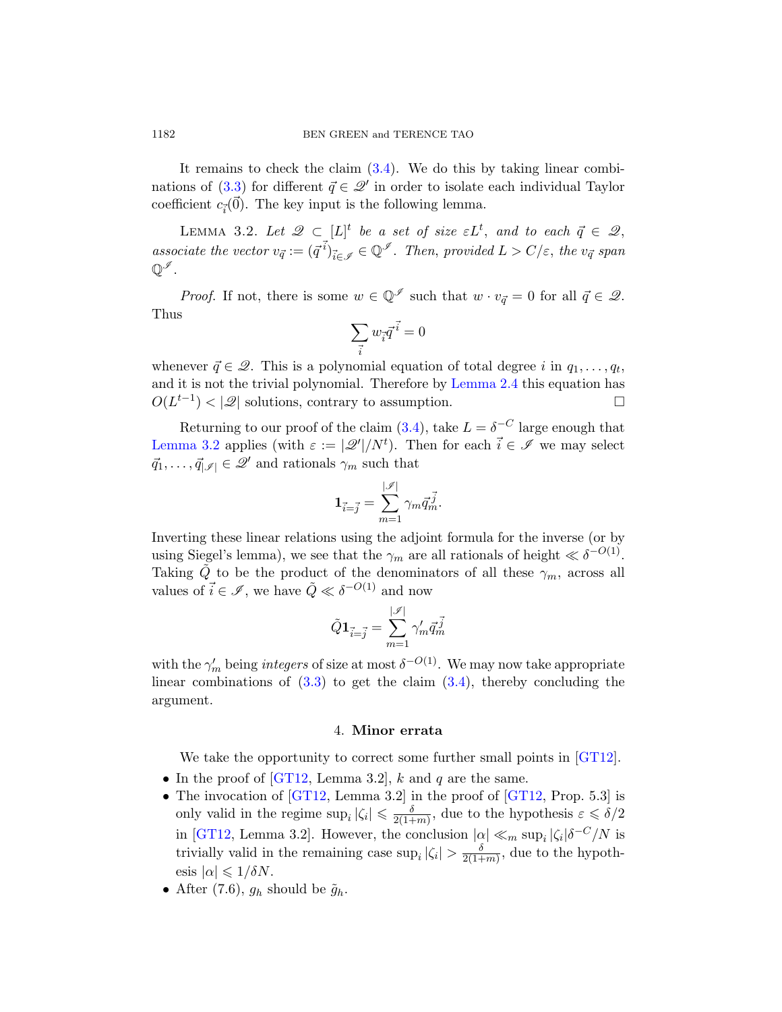It remains to check the claim  $(3.4)$ . We do this by taking linear combinations of (3.3) for different  $\vec{q} \in \mathcal{Q}'$  in order to isolate each individual Taylor coefficient  $c_{\vec{i}}(\vec{0})$ . The key input is the following lemma.

LEMMA 3.2. Let  $\mathscr{Q} \subset [L]^t$  be a set of size  $\varepsilon L^t$ , and to each  $\vec{q} \in \mathscr{Q}$ , associate the vector  $v_{\vec{q}} := (\vec{q}^{i})_{\vec{i} \in \mathscr{I}} \in \mathbb{Q}^{\mathscr{I}}$ . Then, provided  $L > C/\varepsilon$ , the  $v_{\vec{q}}$  span  $\mathbb{Q}^{\mathscr{I}}$  .

*Proof.* If not, there is some  $w \in \mathbb{Q}^{\mathscr{I}}$  such that  $w \cdot v_{\vec{q}} = 0$  for all  $\vec{q} \in \mathscr{Q}$ . Thus

$$
\sum_{\vec{i}} w_{\vec{i}} \vec{q}^{\;\vec{i}} = 0
$$

whenever  $\vec{q} \in \mathcal{Q}$ . This is a polynomial equation of total degree i in  $q_1, \ldots, q_t$ , and it is not the trivial polynomial. Therefore by Lemma 2.4 this equation has  $O(L^{t-1}) < |\mathcal{Q}|$  solutions, contrary to assumption.

Returning to our proof of the claim (3.4), take  $L = \delta^{-C}$  large enough that Lemma 3.2 applies (with  $\varepsilon := |\mathscr{Q}'|/N^t$ ). Then for each  $\vec{i} \in \mathscr{I}$  we may select  $\vec{q}_1, \ldots, \vec{q}_{|\mathscr{I}|} \in \mathscr{Q}'$  and rationals  $\gamma_m$  such that

$$
\mathbf{1}_{\vec{i}=\vec{j}}=\sum_{m=1}^{|\mathscr{I}|}\gamma_m\vec{q}_m^{\vec{j}}.
$$

Inverting these linear relations using the adjoint formula for the inverse (or by using Siegel's lemma), we see that the  $\gamma_m$  are all rationals of height  $\ll \delta^{-O(1)}$ . T[akin](#page-6-0)g  $\tilde{Q}$  to be the pro[duct](#page-6-1) of the denominators of all these  $\gamma_m$ , across all values of  $\vec{i} \in \mathcal{I}$ , we have  $\tilde{Q} \ll \delta^{-O(1)}$  and now

$$
\tilde{Q}\mathbf{1}_{\vec{i}=\vec{j}}=\sum_{m=1}^{|\mathscr{I}|}\gamma_m'\vec{q}_m^{\;\vec{j}}
$$

<span id="page-7-0"></span>[wit](#page-8-0)h the  $\gamma'_m$  being *integers* of size at most  $\delta^{-O(1)}$ . We may now take appropriate [linear](#page-8-0) combinations of  $(3.3)$  to ge[t the c](#page-8-0)laim  $(3.4)$ , thereby concluding the argument.

### 4. Minor errata

We take the opportunity to correct some further small points in [GT12].

- In the proof of [GT12, Lemma 3.2], k and q are the same.
- The invocation of [GT12, Lemma 3.2] in the proof of [GT12, Prop. 5.3] is only valid in the regime  $\sup_i |\zeta_i| \leq \frac{\delta}{2(1+\delta)}$  $\frac{\delta}{2(1+m)}$ , due to the hypothesis  $\varepsilon \leqslant \delta/2$ in [GT12, Lemma 3.2]. However, the conclusion  $|\alpha| \ll_m \sup_i |\zeta_i| \delta^{-C}/N$  is trivially valid in the remaining case  $\sup_i |\zeta_i| > \frac{\delta}{2(1+\delta)}$  $\frac{\delta}{2(1+m)}$ , due to the hypothesis  $|\alpha| \leq 1/\delta N$ .
- After  $(7.6)$ ,  $g_h$  should be  $\tilde{g}_h$ .